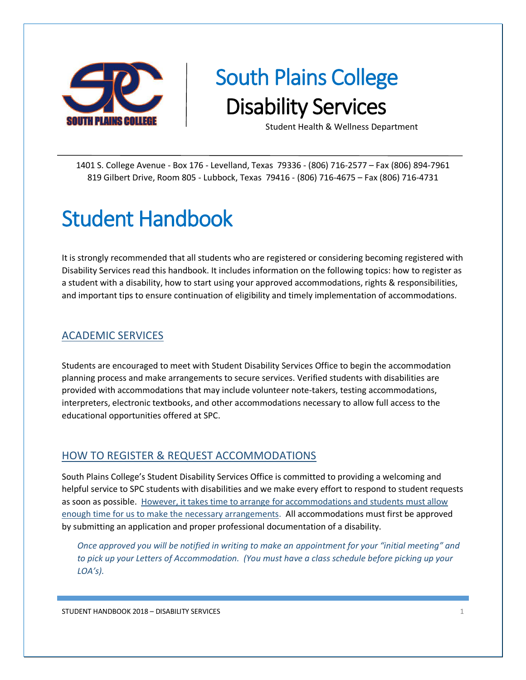

# South Plains College Disability Services

Student Health & Wellness Department

1401 S. College Avenue - Box 176 - Levelland, Texas 79336 - (806) 716-2577 – Fax (806) 894-7961 819 Gilbert Drive, Room 805 - Lubbock, Texas 79416 - (806) 716-4675 – Fax (806) 716-4731

# Student Handbook

It is strongly recommended that all students who are registered or considering becoming registered with Disability Services read this handbook. It includes information on the following topics: how to register as a student with a disability, how to start using your approved accommodations, rights & responsibilities, and important tips to ensure continuation of eligibility and timely implementation of accommodations.

# ACADEMIC SERVICES

Students are encouraged to meet with Student Disability Services Office to begin the accommodation planning process and make arrangements to secure services. Verified students with disabilities are provided with accommodations that may include volunteer note-takers, testing accommodations, interpreters, electronic textbooks, and other accommodations necessary to allow full access to the educational opportunities offered at SPC.

#### HOW TO REGISTER & REQUEST ACCOMMODATIONS

South Plains College's Student Disability Services Office is committed to providing a welcoming and helpful service to SPC students with disabilities and we make every effort to respond to student requests as soon as possible. However, it takes time to arrange for accommodations and students must allow enough time for us to make the necessary arrangements. All accommodations must first be approved by submitting an application and proper professional documentation of a disability.

*Once approved you will be notified in writing to make an appointment for your "initial meeting" and to pick up your Letters of Accommodation. (You must have a class schedule before picking up your LOA's).*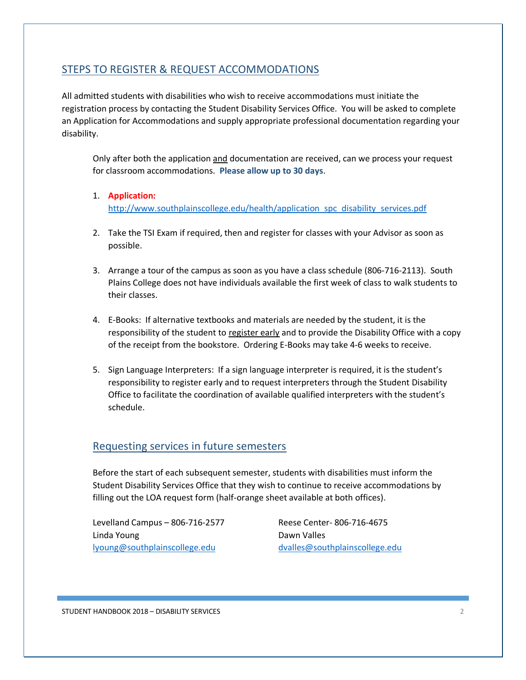# STEPS TO REGISTER & REQUEST ACCOMMODATIONS

All admitted students with disabilities who wish to receive accommodations must initiate the registration process by contacting the Student Disability Services Office. You will be asked to complete an Application for Accommodations and supply appropriate professional documentation regarding your disability.

Only after both the application and documentation are received, can we process your request for classroom accommodations. **Please allow up to 30 days**.

#### 1. **Application:** [http://www.southplainscollege.edu/health/application\\_spc\\_disability\\_services.pdf](http://www.southplainscollege.edu/health/application_spc_disability_services.pdf)

- 2. Take the TSI Exam if required, then and register for classes with your Advisor as soon as possible.
- 3. Arrange a tour of the campus as soon as you have a class schedule (806-716-2113). South Plains College does not have individuals available the first week of class to walk students to their classes.
- 4. E-Books: If alternative textbooks and materials are needed by the student, it is the responsibility of the student to register early and to provide the Disability Office with a copy of the receipt from the bookstore. Ordering E-Books may take 4-6 weeks to receive.
- 5. Sign Language Interpreters: If a sign language interpreter is required, it is the student's responsibility to register early and to request interpreters through the Student Disability Office to facilitate the coordination of available qualified interpreters with the student's schedule.

#### Requesting services in future semesters

Before the start of each subsequent semester, students with disabilities must inform the Student Disability Services Office that they wish to continue to receive accommodations by filling out the LOA request form (half-orange sheet available at both offices).

Levelland Campus – 806-716-2577 Reese Center- 806-716-4675 Linda Young **Dawn Valles** [lyoung@southplainscollege.edu](mailto:lyoung@southplainscollege.edu) [dvalles@southplainscollege.edu](mailto:dvalles@southplainscollege.edu)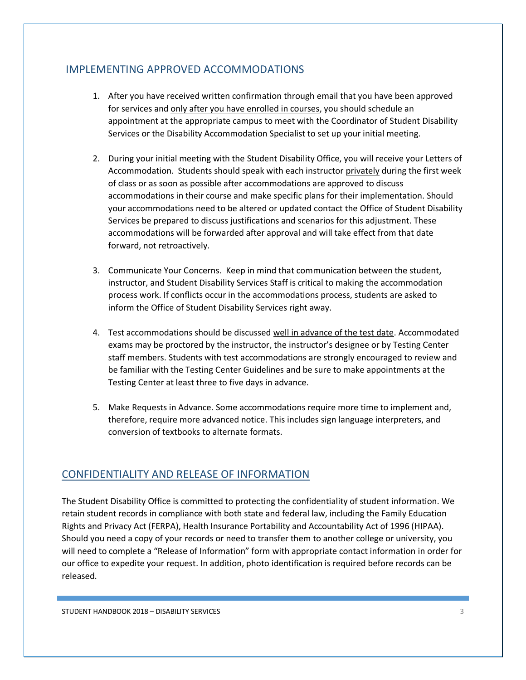# IMPLEMENTING APPROVED ACCOMMODATIONS

- 1. After you have received written confirmation through email that you have been approved for services and only after you have enrolled in courses, you should schedule an appointment at the appropriate campus to meet with the Coordinator of Student Disability Services or the Disability Accommodation Specialist to set up your initial meeting.
- 2. During your initial meeting with the Student Disability Office, you will receive your Letters of Accommodation. Students should speak with each instructor privately during the first week of class or as soon as possible after accommodations are approved to discuss accommodations in their course and make specific plans for their implementation. Should your accommodations need to be altered or updated contact the Office of Student Disability Services be prepared to discuss justifications and scenarios for this adjustment. These accommodations will be forwarded after approval and will take effect from that date forward, not retroactively.
- 3. Communicate Your Concerns. Keep in mind that communication between the student, instructor, and Student Disability Services Staff is critical to making the accommodation process work. If conflicts occur in the accommodations process, students are asked to inform the Office of Student Disability Services right away.
- 4. Test accommodations should be discussed well in advance of the test date. Accommodated exams may be proctored by the instructor, the instructor's designee or by Testing Center staff members. Students with test accommodations are strongly encouraged to review and be familiar with the Testing Center Guidelines and be sure to make appointments at the Testing Center at least three to five days in advance.
- 5. Make Requests in Advance. Some accommodations require more time to implement and, therefore, require more advanced notice. This includes sign language interpreters, and conversion of textbooks to alternate formats.

# CONFIDENTIALITY AND RELEASE OF INFORMATION

The Student Disability Office is committed to protecting the confidentiality of student information. We retain student records in compliance with both state and federal law, including the Family Education Rights and Privacy Act (FERPA), Health Insurance Portability and Accountability Act of 1996 (HIPAA). Should you need a copy of your records or need to transfer them to another college or university, you will need to complete a "Release of Information" form with appropriate contact information in order for our office to expedite your request. In addition, photo identification is required before records can be released.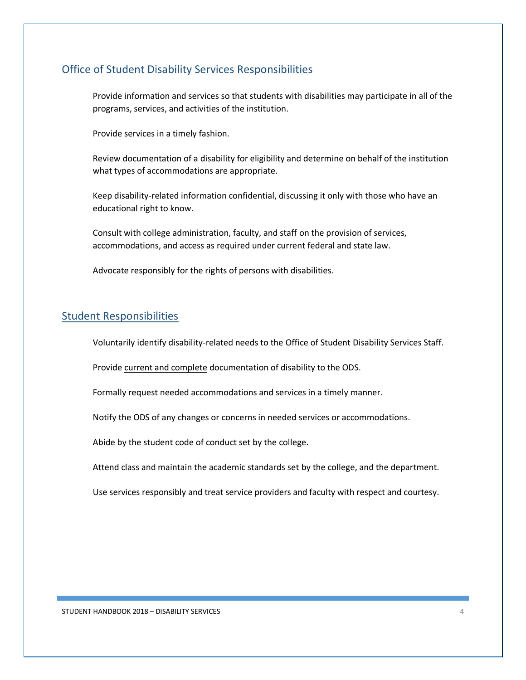### Office of Student Disability Services Responsibilities

Provide information and services so that students with disabilities may participate in all of the programs, services, and activities of the institution.

Provide services in a timely fashion.

Review documentation of a disability for eligibility and determine on behalf of the institution what types of accommodations are appropriate.

Keep disability-related information confidential, discussing it only with those who have an educational right to know.

Consult with college administration, faculty, and staff on the provision of services, accommodations, and access as required under current federal and state law.

Advocate responsibly for the rights of persons with disabilities.

#### Student Responsibilities

Voluntarily identify disability-related needs to the Office of Student Disability Services Staff.

Provide current and complete documentation of disability to the ODS.

Formally request needed accommodations and services in a timely manner.

Notify the ODS of any changes or concerns in needed services or accommodations.

Abide by the student code of conduct set by the college.

Attend class and maintain the academic standards set by the college, and the department.

Use services responsibly and treat service providers and faculty with respect and courtesy.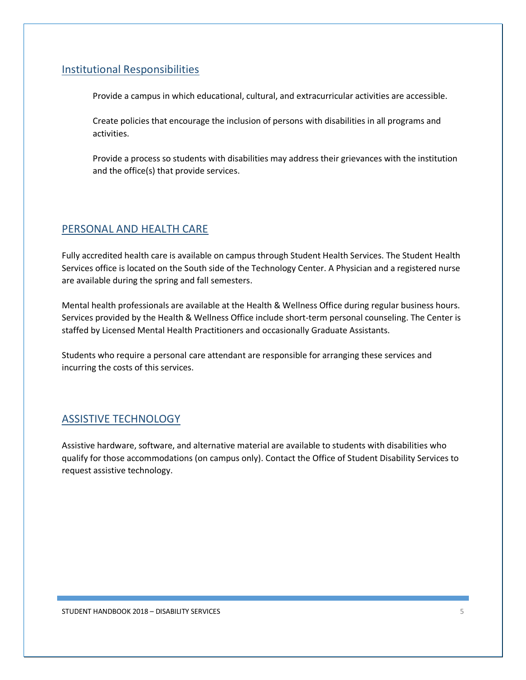### Institutional Responsibilities

Provide a campus in which educational, cultural, and extracurricular activities are accessible.

Create policies that encourage the inclusion of persons with disabilities in all programs and activities.

Provide a process so students with disabilities may address their grievances with the institution and the office(s) that provide services.

#### PERSONAL AND HEALTH CARE

Fully accredited health care is available on campus through Student Health Services. The Student Health Services office is located on the South side of the Technology Center. A Physician and a registered nurse are available during the spring and fall semesters.

Mental health professionals are available at the Health & Wellness Office during regular business hours. Services provided by the Health & Wellness Office include short-term personal counseling. The Center is staffed by Licensed Mental Health Practitioners and occasionally Graduate Assistants.

Students who require a personal care attendant are responsible for arranging these services and incurring the costs of this services.

# ASSISTIVE TECHNOLOGY

Assistive hardware, software, and alternative material are available to students with disabilities who qualify for those accommodations (on campus only). Contact the Office of Student Disability Services to request assistive technology.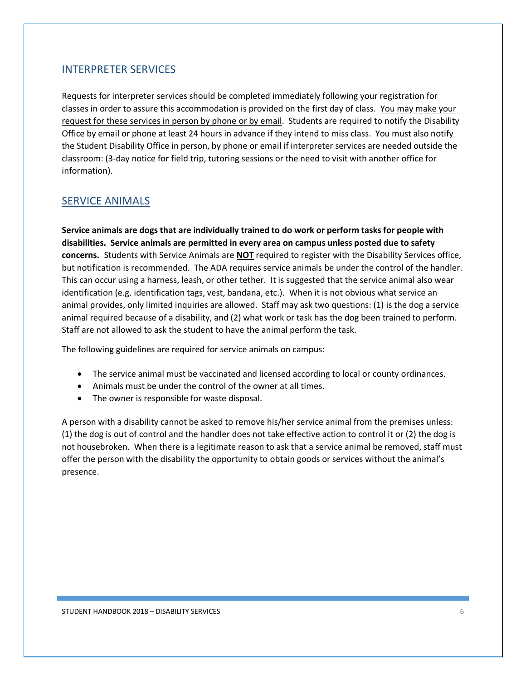#### INTERPRETER SERVICES

Requests for interpreter services should be completed immediately following your registration for classes in order to assure this accommodation is provided on the first day of class. You may make your request for these services in person by phone or by email. Students are required to notify the Disability Office by email or phone at least 24 hours in advance if they intend to miss class. You must also notify the Student Disability Office in person, by phone or email if interpreter services are needed outside the classroom: (3-day notice for field trip, tutoring sessions or the need to visit with another office for information).

#### SERVICE ANIMALS

**Service animals are dogs that are individually trained to do work or perform tasks for people with disabilities. Service animals are permitted in every area on campus unless posted due to safety concerns.** Students with Service Animals are **NOT** required to register with the Disability Services office, but notification is recommended. The ADA requires service animals be under the control of the handler. This can occur using a harness, leash, or other tether. It is suggested that the service animal also wear identification (e.g. identification tags, vest, bandana, etc.). When it is not obvious what service an animal provides, only limited inquiries are allowed. Staff may ask two questions: (1) is the dog a service animal required because of a disability, and (2) what work or task has the dog been trained to perform. Staff are not allowed to ask the student to have the animal perform the task.

The following guidelines are required for service animals on campus:

- The service animal must be vaccinated and licensed according to local or county ordinances.
- Animals must be under the control of the owner at all times.
- The owner is responsible for waste disposal.

A person with a disability cannot be asked to remove his/her service animal from the premises unless: (1) the dog is out of control and the handler does not take effective action to control it or (2) the dog is not housebroken. When there is a legitimate reason to ask that a service animal be removed, staff must offer the person with the disability the opportunity to obtain goods or services without the animal's presence.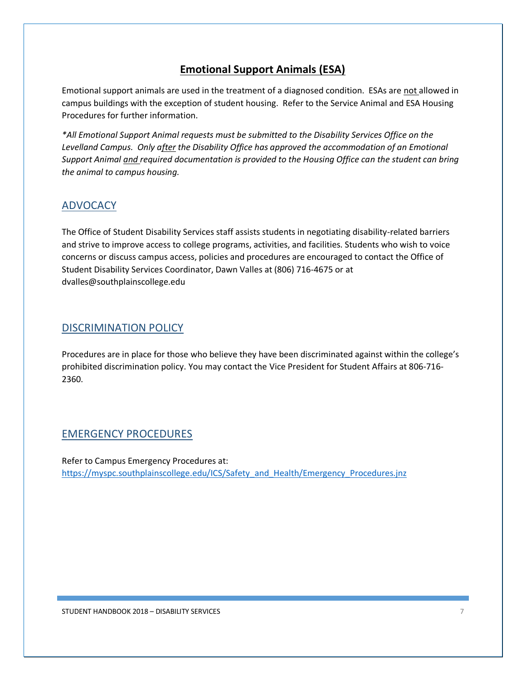# **Emotional Support Animals (ESA)**

Emotional support animals are used in the treatment of a diagnosed condition. ESAs are not allowed in campus buildings with the exception of student housing. Refer to the Service Animal and ESA Housing Procedures for further information.

*\*All Emotional Support Animal requests must be submitted to the Disability Services Office on the Levelland Campus. Only after the Disability Office has approved the accommodation of an Emotional Support Animal and required documentation is provided to the Housing Office can the student can bring the animal to campus housing.* 

# ADVOCACY

The Office of Student Disability Services staff assists students in negotiating disability-related barriers and strive to improve access to college programs, activities, and facilities. Students who wish to voice concerns or discuss campus access, policies and procedures are encouraged to contact the Office of Student Disability Services Coordinator, Dawn Valles at (806) 716-4675 or at dvalles@southplainscollege.edu

#### DISCRIMINATION POLICY

Procedures are in place for those who believe they have been discriminated against within the college's prohibited discrimination policy. You may contact the Vice President for Student Affairs at 806-716- 2360.

#### EMERGENCY PROCEDURES

Refer to Campus Emergency Procedures at: [https://myspc.southplainscollege.edu/ICS/Safety\\_and\\_Health/Emergency\\_Procedures.jnz](https://myspc.southplainscollege.edu/ICS/Safety_and_Health/Emergency_Procedures.jnz)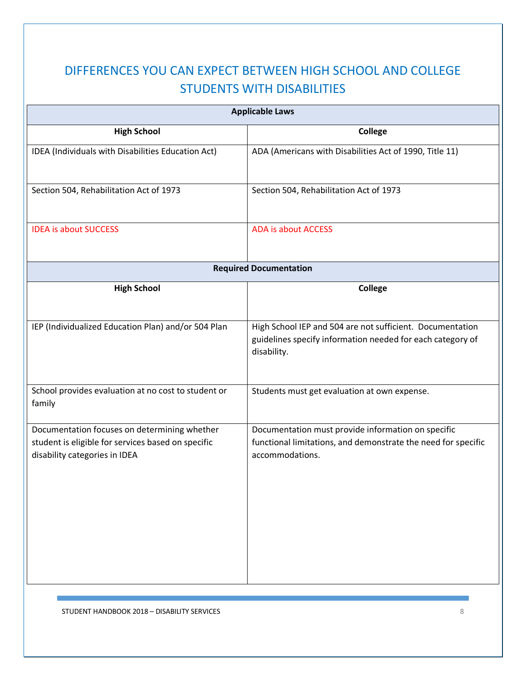# DIFFERENCES YOU CAN EXPECT BETWEEN HIGH SCHOOL AND COLLEGE STUDENTS WITH DISABILITIES

| <b>Applicable Laws</b>                                                                                                              |                                                                                                                                        |  |
|-------------------------------------------------------------------------------------------------------------------------------------|----------------------------------------------------------------------------------------------------------------------------------------|--|
| <b>High School</b>                                                                                                                  | <b>College</b>                                                                                                                         |  |
| IDEA (Individuals with Disabilities Education Act)                                                                                  | ADA (Americans with Disabilities Act of 1990, Title 11)                                                                                |  |
| Section 504, Rehabilitation Act of 1973                                                                                             | Section 504, Rehabilitation Act of 1973                                                                                                |  |
| <b>IDEA is about SUCCESS</b>                                                                                                        | <b>ADA is about ACCESS</b>                                                                                                             |  |
|                                                                                                                                     | <b>Required Documentation</b>                                                                                                          |  |
| <b>High School</b>                                                                                                                  | <b>College</b>                                                                                                                         |  |
| IEP (Individualized Education Plan) and/or 504 Plan                                                                                 | High School IEP and 504 are not sufficient. Documentation<br>guidelines specify information needed for each category of<br>disability. |  |
| School provides evaluation at no cost to student or<br>family                                                                       | Students must get evaluation at own expense.                                                                                           |  |
| Documentation focuses on determining whether<br>student is eligible for services based on specific<br>disability categories in IDEA | Documentation must provide information on specific<br>functional limitations, and demonstrate the need for specific<br>accommodations. |  |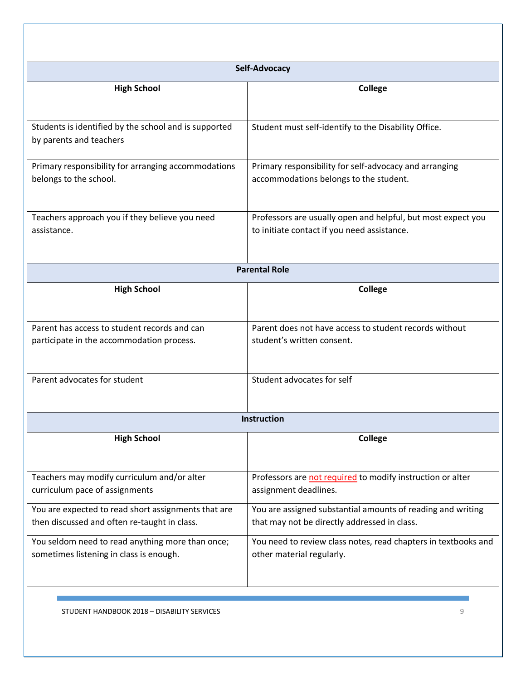|                                                                                                     | Self-Advocacy                                                                                               |
|-----------------------------------------------------------------------------------------------------|-------------------------------------------------------------------------------------------------------------|
| <b>High School</b>                                                                                  | <b>College</b>                                                                                              |
| Students is identified by the school and is supported<br>by parents and teachers                    | Student must self-identify to the Disability Office.                                                        |
| Primary responsibility for arranging accommodations<br>belongs to the school.                       | Primary responsibility for self-advocacy and arranging<br>accommodations belongs to the student.            |
| Teachers approach you if they believe you need<br>assistance.                                       | Professors are usually open and helpful, but most expect you<br>to initiate contact if you need assistance. |
|                                                                                                     | <b>Parental Role</b>                                                                                        |
| <b>High School</b>                                                                                  | <b>College</b>                                                                                              |
| Parent has access to student records and can<br>participate in the accommodation process.           | Parent does not have access to student records without<br>student's written consent.                        |
| Parent advocates for student                                                                        | Student advocates for self                                                                                  |
|                                                                                                     | <b>Instruction</b>                                                                                          |
| <b>High School</b>                                                                                  | <b>College</b>                                                                                              |
| Teachers may modify curriculum and/or alter<br>curriculum pace of assignments                       | Professors are not required to modify instruction or alter<br>assignment deadlines.                         |
| You are expected to read short assignments that are<br>then discussed and often re-taught in class. | You are assigned substantial amounts of reading and writing<br>that may not be directly addressed in class. |
| You seldom need to read anything more than once;<br>sometimes listening in class is enough.         | You need to review class notes, read chapters in textbooks and<br>other material regularly.                 |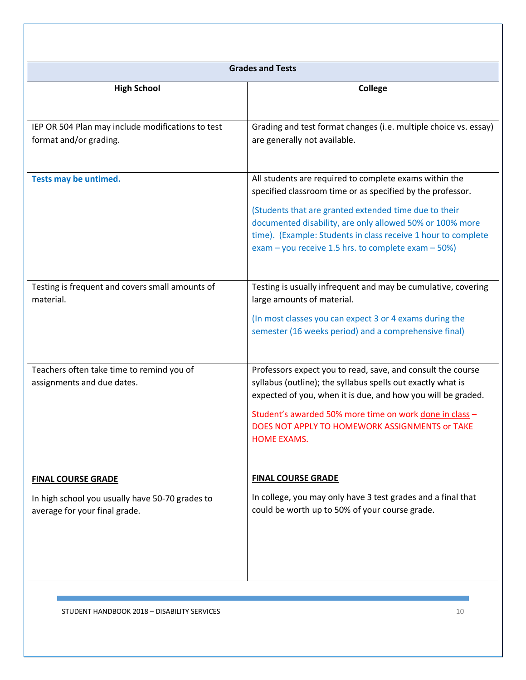| <b>Grades and Tests</b>                                                                                       |                                                                                                                                                                                                                                                                                                                                                                       |  |
|---------------------------------------------------------------------------------------------------------------|-----------------------------------------------------------------------------------------------------------------------------------------------------------------------------------------------------------------------------------------------------------------------------------------------------------------------------------------------------------------------|--|
| <b>High School</b>                                                                                            | <b>College</b>                                                                                                                                                                                                                                                                                                                                                        |  |
| IEP OR 504 Plan may include modifications to test<br>format and/or grading.                                   | Grading and test format changes (i.e. multiple choice vs. essay)<br>are generally not available.                                                                                                                                                                                                                                                                      |  |
| Tests may be untimed.                                                                                         | All students are required to complete exams within the<br>specified classroom time or as specified by the professor.<br>(Students that are granted extended time due to their<br>documented disability, are only allowed 50% or 100% more<br>time). (Example: Students in class receive 1 hour to complete<br>exam – you receive 1.5 hrs. to complete exam – $50\%$ ) |  |
| Testing is frequent and covers small amounts of<br>material.                                                  | Testing is usually infrequent and may be cumulative, covering<br>large amounts of material.<br>(In most classes you can expect 3 or 4 exams during the<br>semester (16 weeks period) and a comprehensive final)                                                                                                                                                       |  |
| Teachers often take time to remind you of<br>assignments and due dates.                                       | Professors expect you to read, save, and consult the course<br>syllabus (outline); the syllabus spells out exactly what is<br>expected of you, when it is due, and how you will be graded.<br>Student's awarded 50% more time on work done in class -<br>DOES NOT APPLY TO HOMEWORK ASSIGNMENTS or TAKE<br><b>HOME EXAMS.</b>                                         |  |
| <b>FINAL COURSE GRADE</b><br>In high school you usually have 50-70 grades to<br>average for your final grade. | <b>FINAL COURSE GRADE</b><br>In college, you may only have 3 test grades and a final that<br>could be worth up to 50% of your course grade.                                                                                                                                                                                                                           |  |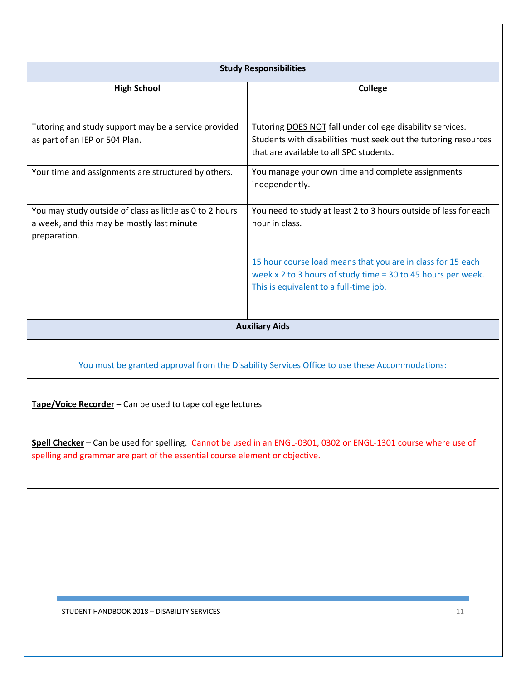| <b>Study Responsibilities</b>                                                                                          |                                                                                                                                                                         |  |
|------------------------------------------------------------------------------------------------------------------------|-------------------------------------------------------------------------------------------------------------------------------------------------------------------------|--|
| <b>High School</b>                                                                                                     | <b>College</b>                                                                                                                                                          |  |
| Tutoring and study support may be a service provided<br>as part of an IEP or 504 Plan.                                 | Tutoring DOES NOT fall under college disability services.<br>Students with disabilities must seek out the tutoring resources<br>that are available to all SPC students. |  |
| Your time and assignments are structured by others.                                                                    | You manage your own time and complete assignments<br>independently.                                                                                                     |  |
| You may study outside of class as little as 0 to 2 hours<br>a week, and this may be mostly last minute<br>preparation. | You need to study at least 2 to 3 hours outside of lass for each<br>hour in class.                                                                                      |  |
|                                                                                                                        | 15 hour course load means that you are in class for 15 each<br>week x 2 to 3 hours of study time = 30 to 45 hours per week.<br>This is equivalent to a full-time job.   |  |
|                                                                                                                        | <b>Auxiliary Aids</b>                                                                                                                                                   |  |
|                                                                                                                        | You must be granted approval from the Disability Services Office to use these Accommodations:                                                                           |  |
| Tape/Voice Recorder - Can be used to tape college lectures                                                             |                                                                                                                                                                         |  |
| spelling and grammar are part of the essential course element or objective.                                            | Spell Checker - Can be used for spelling. Cannot be used in an ENGL-0301, 0302 or ENGL-1301 course where use of                                                         |  |
|                                                                                                                        |                                                                                                                                                                         |  |
|                                                                                                                        |                                                                                                                                                                         |  |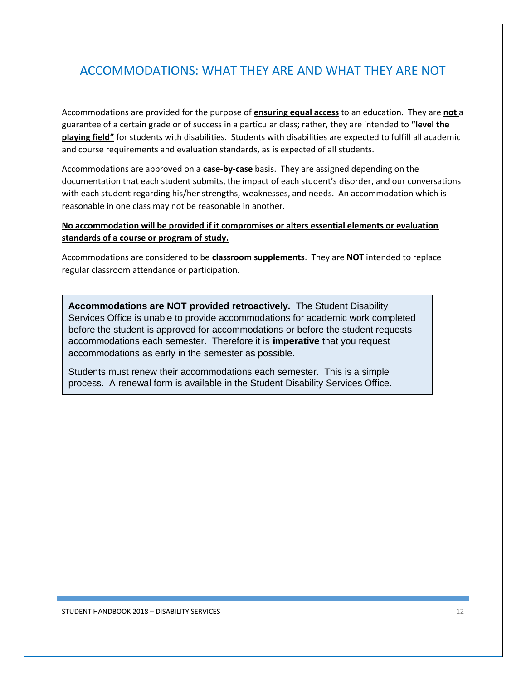# ACCOMMODATIONS: WHAT THEY ARE AND WHAT THEY ARE NOT

Accommodations are provided for the purpose of **ensuring equal access** to an education. They are **not** a guarantee of a certain grade or of success in a particular class; rather, they are intended to **"level the playing field"** for students with disabilities. Students with disabilities are expected to fulfill all academic and course requirements and evaluation standards, as is expected of all students.

Accommodations are approved on a **case-by-case** basis. They are assigned depending on the documentation that each student submits, the impact of each student's disorder, and our conversations with each student regarding his/her strengths, weaknesses, and needs. An accommodation which is reasonable in one class may not be reasonable in another.

#### **No accommodation will be provided if it compromises or alters essential elements or evaluation standards of a course or program of study.**

Accommodations are considered to be **classroom supplements**. They are **NOT** intended to replace regular classroom attendance or participation.

**Accommodations are NOT provided retroactively.** The Student Disability Services Office is unable to provide accommodations for academic work completed before the student is approved for accommodations or before the student requests accommodations each semester. Therefore it is **imperative** that you request accommodations as early in the semester as possible.

Students must renew their accommodations each semester. This is a simple process. A renewal form is available in the Student Disability Services Office.